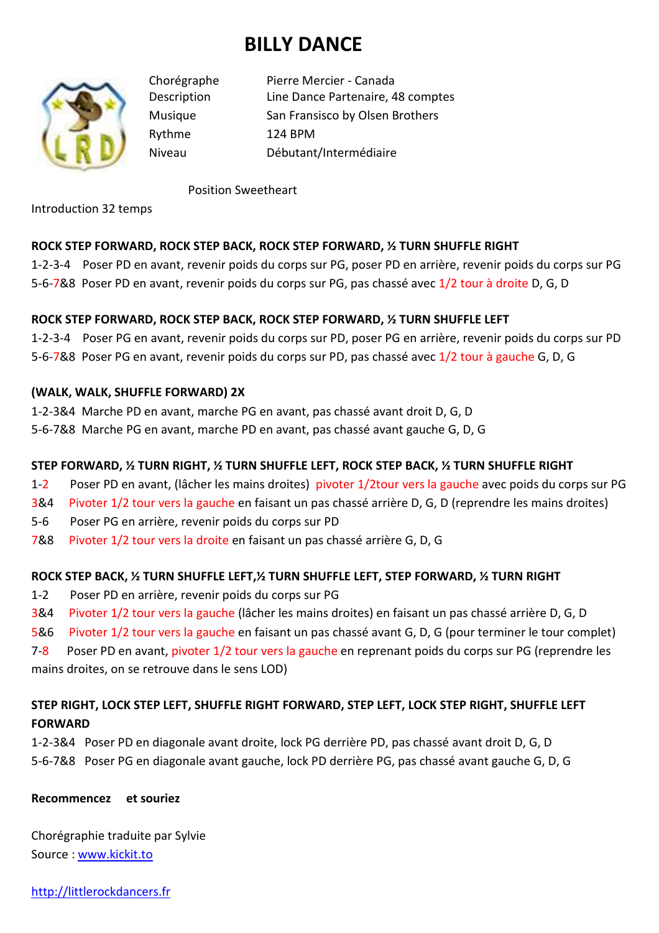# **BILLY DANCE**



Chorégraphe Pierre Mercier - Canada Description Line Dance Partenaire, 48 comptes Musique San Fransisco by Olsen Brothers Rythme 124 BPM Niveau Débutant/Intermédiaire

#### Position Sweetheart

Introduction 32 temps

# **ROCK STEP FORWARD, ROCK STEP BACK, ROCK STEP FORWARD, ½ TURN SHUFFLE RIGHT**

1-2-3-4 Poser PD en avant, revenir poids du corps sur PG, poser PD en arrière, revenir poids du corps sur PG 5-6-7&8 Poser PD en avant, revenir poids du corps sur PG, pas chassé avec 1/2 tour à droite D, G, D

## **ROCK STEP FORWARD, ROCK STEP BACK, ROCK STEP FORWARD, ½ TURN SHUFFLE LEFT**

1-2-3-4 Poser PG en avant, revenir poids du corps sur PD, poser PG en arrière, revenir poids du corps sur PD 5-6-7&8 Poser PG en avant, revenir poids du corps sur PD, pas chassé avec 1/2 tour à gauche G, D, G

## **(WALK, WALK, SHUFFLE FORWARD) 2X**

1-2-3&4 Marche PD en avant, marche PG en avant, pas chassé avant droit D, G, D

5-6-7&8 Marche PG en avant, marche PD en avant, pas chassé avant gauche G, D, G

## **STEP FORWARD, ½ TURN RIGHT, ½ TURN SHUFFLE LEFT, ROCK STEP BACK, ½ TURN SHUFFLE RIGHT**

- 1-2 Poser PD en avant, (lâcher les mains droites) pivoter 1/2tour vers la gauche avec poids du corps sur PG
- 3&4 Pivoter 1/2 tour vers la gauche en faisant un pas chassé arrière D, G, D (reprendre les mains droites)
- 5-6 Poser PG en arrière, revenir poids du corps sur PD
- 7&8 Pivoter 1/2 tour vers la droite en faisant un pas chassé arrière G, D, G

# **ROCK STEP BACK, ½ TURN SHUFFLE LEFT,½ TURN SHUFFLE LEFT, STEP FORWARD, ½ TURN RIGHT**

- 1-2 Poser PD en arrière, revenir poids du corps sur PG
- 3&4 Pivoter 1/2 tour vers la gauche (lâcher les mains droites) en faisant un pas chassé arrière D, G, D
- 5&6 Pivoter 1/2 tour vers la gauche en faisant un pas chassé avant G, D, G (pour terminer le tour complet)

7-8 Poser PD en avant, pivoter 1/2 tour vers la gauche en reprenant poids du corps sur PG (reprendre les

mains droites, on se retrouve dans le sens LOD)

# **STEP RIGHT, LOCK STEP LEFT, SHUFFLE RIGHT FORWARD, STEP LEFT, LOCK STEP RIGHT, SHUFFLE LEFT FORWARD**

1-2-3&4 Poser PD en diagonale avant droite, lock PG derrière PD, pas chassé avant droit D, G, D 5-6-7&8 Poser PG en diagonale avant gauche, lock PD derrière PG, pas chassé avant gauche G, D, G

# **Recommencez et souriez**

Chorégraphie traduite par Sylvie Source : www.kickit.to